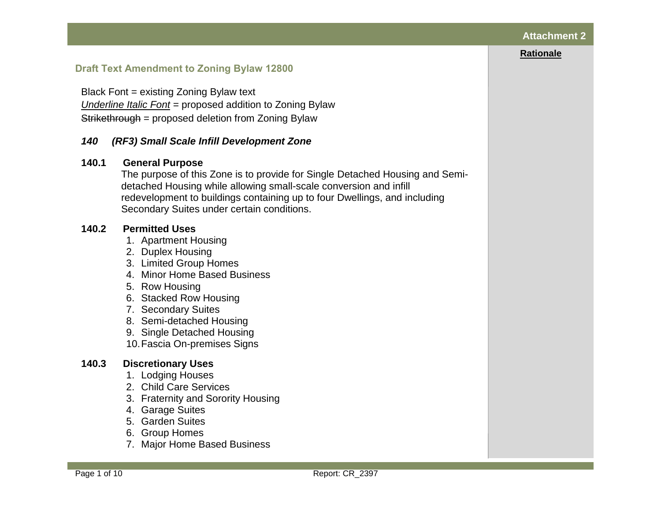#### **Rationale**

# **Draft Text Amendment to Zoning Bylaw 12800**

Black Font = existing Zoning Bylaw text *Underline Italic Font* = proposed addition to Zoning Bylaw Strikethrough = proposed deletion from Zoning Bylaw

## *140 (RF3) Small Scale Infill Development Zone*

## **140.1 General Purpose**

The purpose of this Zone is to provide for Single Detached Housing and Semidetached Housing while allowing small-scale conversion and infill redevelopment to buildings containing up to four Dwellings, and including Secondary Suites under certain conditions.

## **140.2 Permitted Uses**

- 1. [Apartment Housing](javascript:void(0);)
- 2. [Duplex Housing](javascript:void(0);)
- 3. [Limited Group Homes](javascript:void(0);)
- 4. [Minor Home Based Business](javascript:void(0);)
- 5. [Row Housing](javascript:void(0);)
- 6. [Stacked Row Housing](javascript:void(0);)
- 7. [Secondary Suites](javascript:void(0);)
- 8. [Semi-detached Housing](javascript:void(0);)
- 9. [Single Detached Housing](javascript:void(0);)
- 10[.Fascia On-premises Signs](javascript:void(0);)

# **140.3 Discretionary Uses**

- 1. [Lodging Houses](javascript:void(0);)
- 2. [Child Care Services](javascript:void(0);)
- 3. [Fraternity and Sorority Housing](javascript:void(0);)
- 4. [Garage Suites](javascript:void(0);)
- 5. [Garden Suites](javascript:void(0);)
- 6. [Group Homes](javascript:void(0);)
- 7. [Major Home Based Business](javascript:void(0);)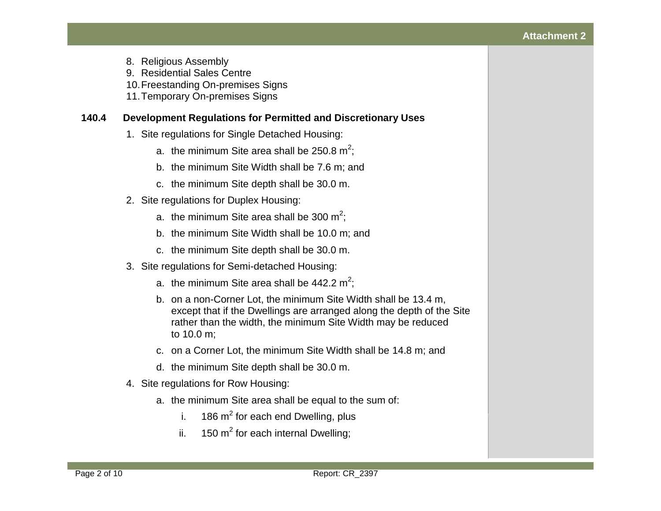## **Attachment 2**

- 8. [Religious Assembly](javascript:void(0);)
- 9. [Residential Sales Centre](javascript:void(0);)
- 10[.Freestanding On-premises Signs](javascript:void(0);)
- 11[.Temporary On-premises Signs](javascript:void(0);)

## **140.4 Development Regulations for Permitted and Discretionary Uses**

- 1. Site regulations for Single Detached Housing:
	- a. the minimum Site area shall be [250.8 m](javascript:void(0);)<sup>2</sup>;
	- b. the minimum Site Width shall be [7.6 m;](javascript:void(0);) and
	- c. the minimum Site depth shall be [30.0](javascript:void(0);) m.
- 2. Site regulations for Duplex Housing:
	- a. the minimum Site area shall be [300 m](javascript:void(0);)<sup>2</sup>;
	- b. the minimum Site Width shall be [10.0 m;](javascript:void(0);) and
	- c. the minimum Site depth shall be [30.0 m.](javascript:void(0);)
- 3. Site regulations for Semi-detached Housing:
	- a. the minimum Site area shall be [442.2 m](javascript:void(0);)<sup>2</sup>;
	- b. on a non-Corner Lot, the minimum Site Width shall be [13.4 m,](javascript:void(0);) except that if the Dwellings are arranged along the depth of the Site rather than the width, the minimum Site Width may be reduced to [10.0 m;](javascript:void(0);)
	- c. on a Corner Lot, the minimum Site Width shall be [14.8 m;](javascript:void(0);) and
	- d. the minimum Site depth shall be [30.0 m.](javascript:void(0);)
- 4. Site regulations for Row Housing:
	- a. the minimum Site area shall be equal to the sum of:
		- i.  $186 \text{ m}^2$  for each end Dwelling, plus
		- ii.  $150 \text{ m}^2$  $150 \text{ m}^2$  for each internal Dwelling;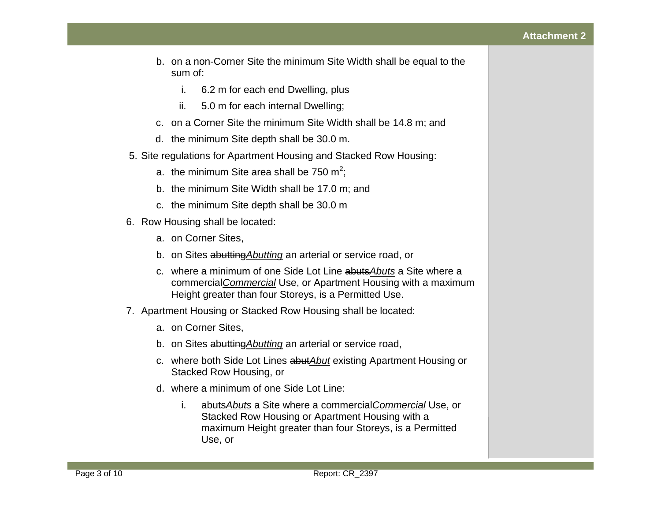- b. on a non-Corner Site the minimum Site Width shall be equal to the sum of:
	- i. [6.2](javascript:void(0);) m for each end Dwelling, plus
	- ii. [5.0](javascript:void(0);) m for each internal Dwelling;
- c. on a Corner Site the minimum Site Width shall be [14.8 m;](javascript:void(0);) and
- d. the minimum Site depth shall be [30.0 m.](javascript:void(0);)
- 5. Site regulations for Apartment Housing and Stacked Row Housing:
	- a. the minimum Site area shall be [750 m](javascript:void(0);)<sup>2</sup>;
	- b. the minimum Site Width shall be [17.0 m;](javascript:void(0);) and
	- c. the minimum Site depth shall be [30.0 m](javascript:void(0);)
- 6. Row Housing shall be located:
	- a. on Corner Sites,
	- b. on Sites abutting*Abutting* an arterial or service road, or
	- c. where a minimum of one Side Lot Line abuts*Abuts* a Site where a commercial*Commercial* Use, or Apartment Housing with a maximum Height greater than four Storeys, is a Permitted Use.
- 7. Apartment Housing or Stacked Row Housing shall be located:
	- a. on Corner Sites,
	- b. on Sites abutting*Abutting* an arterial or service road,
	- c. where both Side Lot Lines abut*Abut* existing Apartment Housing or Stacked Row Housing, or
	- d. where a minimum of one Side Lot Line:
		- i. abuts*Abuts* a Site where a commercial*Commercial* Use, or Stacked Row Housing or Apartment Housing with a maximum Height greater than four Storeys, is a Permitted Use, or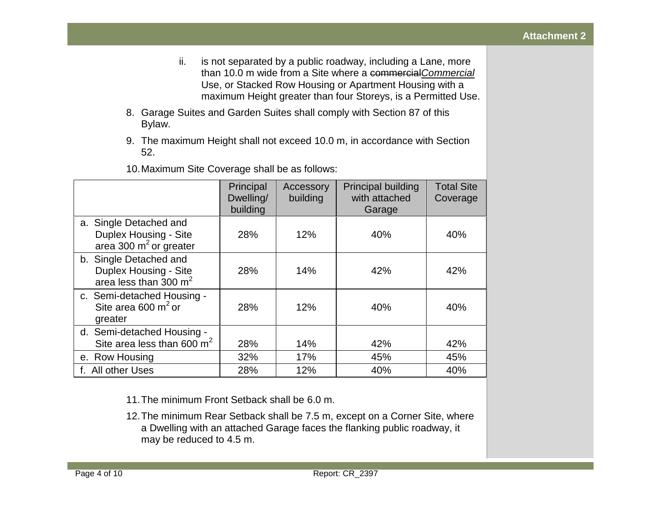- ii. is not separated by a public roadway, including a Lane, more than [10.0 m](javascript:void(0);) wide from a Site where a commercial*Commercial* Use, or Stacked Row Housing or Apartment Housing with a maximum Height greater than four Storeys, is a Permitted Use.
- 8. Garage Suites and Garden Suites shall comply with Section 87 of this Bylaw.
- 9. The maximum Height shall not exceed [10.0](javascript:void(0);) m, in accordance with Section 52.

|                                  |           |           |                           | <b>Total Site</b> |
|----------------------------------|-----------|-----------|---------------------------|-------------------|
|                                  | Principal | Accessory | <b>Principal building</b> |                   |
|                                  | Dwelling/ | building  | with attached             | Coverage          |
|                                  | building  |           | Garage                    |                   |
| a. Single Detached and           |           |           |                           |                   |
| Duplex Housing - Site            | 28%       | 12%       | 40%                       | 40%               |
| area 300 $m2$ or greater         |           |           |                           |                   |
| b. Single Detached and           |           |           |                           |                   |
| Duplex Housing - Site            | 28%       | 14%       | 42%                       | 42%               |
| area less than $300 \text{ m}^2$ |           |           |                           |                   |
| c. Semi-detached Housing -       |           |           |                           |                   |
| Site area 600 $m2$ or            | 28%       | 12%       | 40%                       | 40%               |
| greater                          |           |           |                           |                   |
| d. Semi-detached Housing -       |           |           |                           |                   |
| Site area less than 600 $m2$     | 28%       | 14%       | 42%                       | 42%               |
| e. Row Housing                   | 32%       | 17%       | 45%                       | 45%               |
| f. All other Uses                | 28%       | 12%       | 40%                       | 40%               |

10.Maximum Site Coverage shall be as follows:

- 11.The minimum Front Setback shall be [6.0](javascript:void(0);) m.
- 12.The minimum Rear Setback shall be [7.5](javascript:void(0);) m, except on a Corner Site, where a Dwelling with an attached Garage faces the flanking public roadway, it may be reduced to [4.5](javascript:void(0);) m.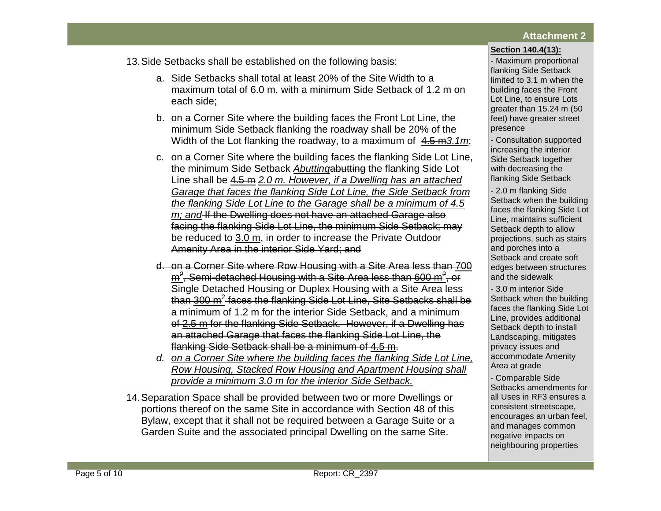#### **Section 140.4(13):**

13.Side Setbacks shall be established on the following basis:

- a. Side Setbacks shall total at least 20% of the Site Width to a maximum total of [6.0](javascript:void(0);) m, with a minimum Side Setback of [1.2](javascript:void(0);) m on each side;
- b. on a Corner Site where the building faces the Front Lot Line, the minimum Side Setback flanking the roadway shall be 20% of the Width of the Lot flanking the roadway, to a maximum of [4.5](javascript:void(0);) m*3.1m*;
- c. on a Corner Site where the building faces the flanking Side Lot Line, the minimum Side Setback *Abutting*abutting the flanking Side Lot Line shall be [4.5](javascript:void(0);) m *2.0 m. However, if a Dwelling has an attached Garage that faces the flanking Side Lot Line, the Side Setback from the flanking Side Lot Line to the Garage shall be a minimum of 4.5 m; and* If the Dwelling does not have an attached Garage also facing the flanking Side Lot Line, the minimum Side Setback; may be reduced to [3.0 m,](javascript:void(0);) in order to increase the Private Outdoor Amenity Area in the interior Side Yard; and
- d. on a Corner Site where Row Housing with a Site Area less than [700](javascript:void(0);)   $\overline{\text{m}^2}$  $\overline{\text{m}^2}$  $\overline{\text{m}^2}$ , Semi-detached Housing with a Site Area less than 600  $\overline{\text{m}^2}$ , or Single Detached Housing or Duplex Housing with a Site Area less than <u>[300 m](javascript:void(0);)<sup>2</sup> faces the flanking Side Lot Line, Site Setbacks shall be</u> a minimum of [1.2](javascript:void(0);) m for the interior Side Setback, and a minimum of [2.5 m](javascript:void(0);) for the flanking Side Setback. However, if a Dwelling has an attached Garage that faces the flanking Side Lot Line, the flanking Side Setback shall be a minimum of [4.5](javascript:void(0);) m.
- *d. on a Corner Site where the building faces the flanking Side Lot Line, Row Housing, Stacked Row Housing and Apartment Housing shall provide a minimum 3.0 m for the interior Side Setback.*
- 14.Separation Space shall be provided between two or more Dwellings or portions thereof on the same Site in accordance with Section 48 of this Bylaw, except that it shall not be required between a Garage Suite or a Garden Suite and the associated principal Dwelling on the same Site.

- Maximum proportional flanking Side Setback limited to 3.1 m when the building faces the Front Lot Line, to ensure Lots greater than 15.24 m (50 feet) have greater street presence

- Consultation supported increasing the interior Side Setback together with decreasing the flanking Side Setback

- 2.0 m flanking Side Setback when the building faces the flanking Side Lot Line, maintains sufficient Setback depth to allow projections, such as stairs and porches into a Setback and create soft edges between structures and the sidewalk

- 3.0 m interior Side Setback when the building faces the flanking Side Lot Line, provides additional Setback depth to install Landscaping, mitigates privacy issues and accommodate Amenity Area at grade

- Comparable Side Setbacks amendments for all Uses in RF3 ensures a consistent streetscape, encourages an urban feel, and manages common negative impacts on neighbouring properties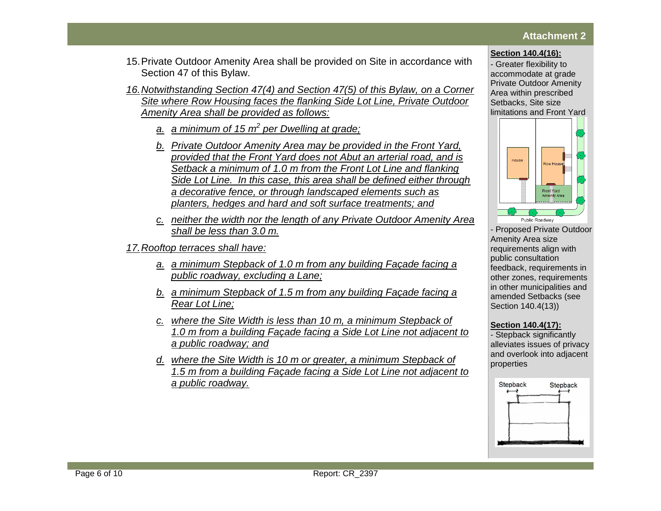## **Attachment 2**

#### **Section 140.4(16):**

- Greater flexibility to accommodate at grade Private Outdoor Amenity Area within prescribed Setbacks, Site size



- Proposed Private Outdoor Amenity Area size requirements align with public consultation feedback, requirements in other zones, requirements in other municipalities and amended Setbacks (see Section 140.4(13))

### **Section 140.4(17):**

- Stepback significantly alleviates issues of privacy and overlook into adjacent properties



- 15.Private Outdoor Amenity Area shall be provided on Site in accordance with Section 47 of this Bylaw.
- *16.Notwithstanding Section 47(4) and Section 47(5) of this Bylaw, on a Corner Site where Row Housing faces the flanking Side Lot Line, Private Outdoor Amenity Area shall be provided as follows:*
	- *a. a minimum of 15 m<sup>2</sup> per Dwelling at grade;*
	- *b. Private Outdoor Amenity Area may be provided in the Front Yard, provided that the Front Yard does not Abut an arterial road, and is Setback a minimum of 1.0 m from the Front Lot Line and flanking Side Lot Line. In this case, this area shall be defined either through a decorative fence, or through landscaped elements such as planters, hedges and hard and soft surface treatments; and*
	- *c. neither the width nor the length of any Private Outdoor Amenity Area shall be less than 3.0 m.*

*17.Rooftop terraces shall have:* 

- *a. a minimum Stepback of 1.0 m from any building Façade facing a public roadway, excluding a Lane;*
- *b. a minimum Stepback of 1.5 m from any building Façade facing a Rear Lot Line;*
- *c. where the Site Width is less than 10 m, a minimum Stepback of 1.0 m from a building Façade facing a Side Lot Line not adjacent to a public roadway; and*
- *d. where the Site Width is 10 m or greater, a minimum Stepback of 1.5 m from a building Façade facing a Side Lot Line not adjacent to a public roadway.*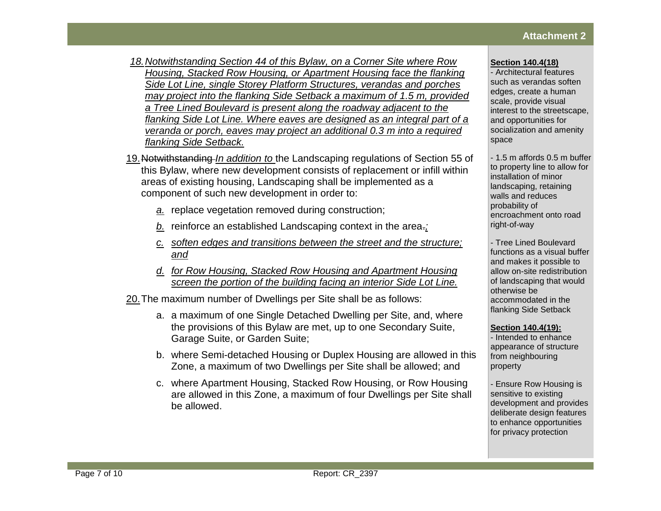- *18.Notwithstanding Section 44 of this Bylaw, on a Corner Site where Row Housing, Stacked Row Housing, or Apartment Housing face the flanking Side Lot Line, single Storey Platform Structures, verandas and porches may project into the flanking Side Setback a maximum of 1.5 m, provided a Tree Lined Boulevard is present along the roadway adjacent to the flanking Side Lot Line. Where eaves are designed as an integral part of a veranda or porch, eaves may project an additional 0.3 m into a required flanking Side Setback.*
- 19.Notwithstanding *In addition to* the Landscaping regulations of Section 55 of this Bylaw, where new development consists of replacement or infill within areas of existing housing, Landscaping shall be implemented as a component of such new development in order to:
	- *a.* replace vegetation removed during construction;
	- *b.* reinforce an established Landscaping context in the area.*;*
	- *c. soften edges and transitions between the street and the structure; and*
	- *d. for Row Housing, Stacked Row Housing and Apartment Housing screen the portion of the building facing an interior Side Lot Line.*

20.The maximum number of Dwellings per Site shall be as follows:

- a. a maximum of one Single Detached Dwelling per Site, and, where the provisions of this Bylaw are met, up to one Secondary Suite, Garage Suite, or Garden Suite;
- b. where Semi-detached Housing or Duplex Housing are allowed in this Zone, a maximum of two Dwellings per Site shall be allowed; and
- c. where Apartment Housing, Stacked Row Housing, or Row Housing are allowed in this Zone, a maximum of four Dwellings per Site shall be allowed.

### **Section 140.4(18)**

- Architectural features such as verandas soften edges, create a human scale, provide visual interest to the streetscape, and opportunities for socialization and amenity space

- 1.5 m affords 0.5 m buffer to property line to allow for installation of minor landscaping, retaining walls and reduces probability of encroachment onto road right-of-way

- Tree Lined Boulevard functions as a visual buffer and makes it possible to allow on-site redistribution of landscaping that would otherwise be accommodated in the flanking Side Setback

### **Section 140.4(19):**

- Intended to enhance appearance of structure from neighbouring property

- Ensure Row Housing is sensitive to existing development and provides deliberate design features to enhance opportunities for privacy protection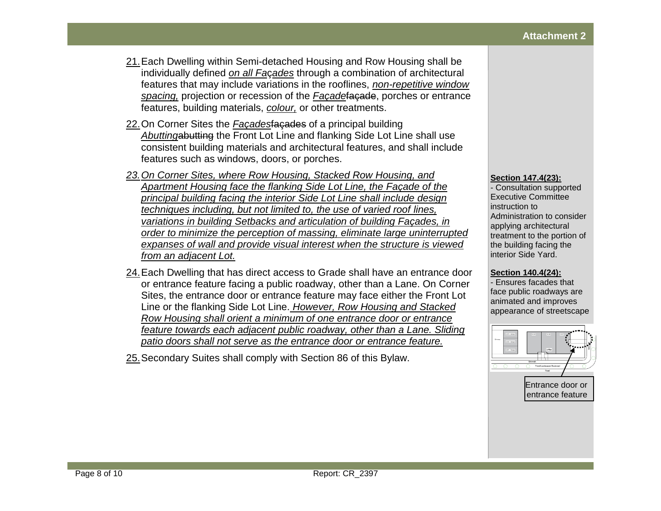- 21.Each Dwelling within Semi-detached Housing and Row Housing shall be individually defined *on all Fa*ç*ades* through a combination of architectural features that may include variations in the rooflines, *non-repetitive window spacing,* projection or recession of the *Façade*façade, porches or entrance features, building materials, *colour,* or other treatments.
- 22.On Corner Sites the *Façades*façades of a principal building *Abutting*abutting the Front Lot Line and flanking Side Lot Line shall use consistent building materials and architectural features, and shall include features such as windows, doors, or porches.
- *23.On Corner Sites, where Row Housing, Stacked Row Housing, and Apartment Housing face the flanking Side Lot Line, the Façade of the principal building facing the interior Side Lot Line shall include design techniques including, but not limited to, the use of varied roof lines, variations in building Setbacks and articulation of building Façades, in order to minimize the perception of massing, eliminate large uninterrupted expanses of wall and provide visual interest when the structure is viewed from an adjacent Lot.*
- 24.Each Dwelling that has direct access to Grade shall have an entrance door or entrance feature facing a public roadway, other than a Lane. On Corner Sites, the entrance door or entrance feature may face either the Front Lot Line or the flanking Side Lot Line. *However, Row Housing and Stacked Row Housing shall orient a minimum of one entrance door or entrance feature towards each adjacent public roadway, other than a Lane. Sliding patio doors shall not serve as the entrance door or entrance feature.*
- 25.Secondary Suites shall comply with Section 86 of this Bylaw.

#### **Section 147.4(23):**

- Consultation supported Executive Committee instruction to Administration to consider applying architectural treatment to the portion of the building facing the interior Side Yard.

#### **Section 140.4(24):**

- Ensures facades that face public roadways are animated and improves appearance of streetscape

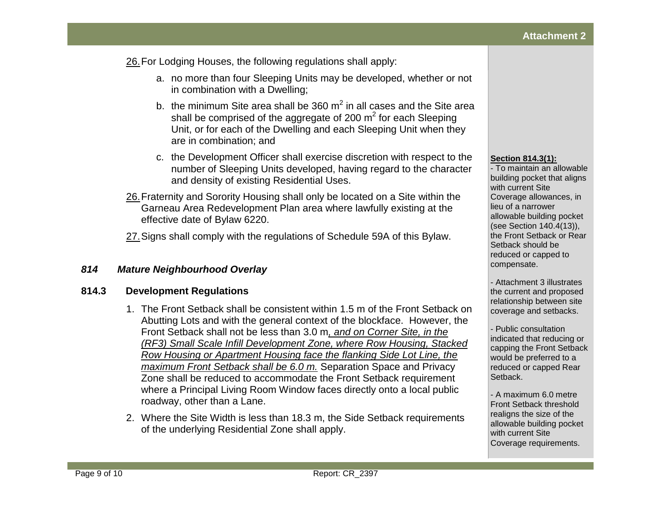26.For Lodging Houses, the following regulations shall apply:

- a. no more than four Sleeping Units may be developed, whether or not in combination with a Dwelling;
- b. the minimum Site area shall be [360](javascript:void(0);)  $m^2$  in all cases and the Site area shall be comprised of the aggregate of [200](javascript:void(0);)  $m^2$  for each Sleeping Unit, or for each of the Dwelling and each Sleeping Unit when they are in combination; and
- c. the Development Officer shall exercise discretion with respect to the number of Sleeping Units developed, having regard to the character and density of existing Residential Uses.
- 26.Fraternity and Sorority Housing shall only be located on a Site within the Garneau Area Redevelopment Plan area where lawfully existing at the effective date of Bylaw 6220.
- 27.Signs shall comply with the regulations of Schedule 59A of this Bylaw.

# *814 Mature Neighbourhood Overlay*

# **814.3 Development Regulations**

- 1. The Front Setback shall be consistent within [1.5 m](javascript:void(0);) of the Front Setback on Abutting Lots and with the general context of the blockface. However, the Front Setback shall not be less than [3.0](javascript:void(0);) m*, and on Corner Site, in the (RF3) Small Scale Infill Development Zone, where Row Housing, Stacked Row Housing or Apartment Housing face the flanking Side Lot Line, the maximum Front Setback shall be 6.0 m.* Separation Space and Privacy Zone shall be reduced to accommodate the Front Setback requirement where a Principal Living Room Window faces directly onto a local public roadway, other than a Lane.
- 2. Where the Site Width is less than [18.3](javascript:void(0);) m, the Side Setback requirements of the underlying Residential Zone shall apply.

## **Section 814.3(1):**

- To maintain an allowable building pocket that aligns with current Site Coverage allowances, in lieu of a narrower allowable building pocket (see Section 140.4(13)), the Front Setback or Rear Setback should be reduced or capped to compensate.

- Attachment 3 illustrates the current and proposed relationship between site coverage and setbacks.

- Public consultation indicated that reducing or capping the Front Setback would be preferred to a reduced or capped Rear Setback.

- A maximum 6.0 metre Front Setback threshold realigns the size of the allowable building pocket with current Site Coverage requirements.